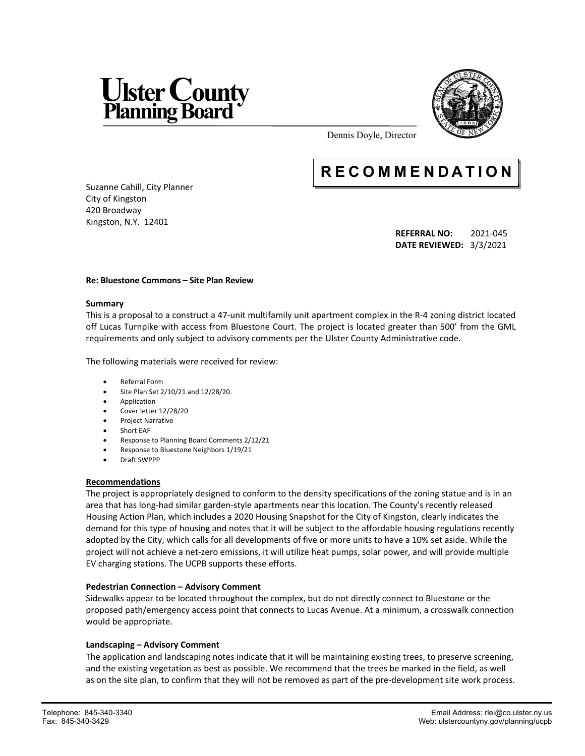



Dennis Doyle, Director

# **R E C O M M E N D A T I O N**

Suzanne Cahill, City Planner City of Kingston 420 Broadway Kingston, N.Y. 12401

> **REFERRAL NO:** 2021-045 **DATE REVIEWED:** 3/3/2021

#### **Re: Bluestone Commons – Site Plan Review**

#### **Summary**

This is a proposal to a construct a 47-unit multifamily unit apartment complex in the R-4 zoning district located off Lucas Turnpike with access from Bluestone Court. The project is located greater than 500' from the GML requirements and only subject to advisory comments per the Ulster County Administrative code.

The following materials were received for review:

- Referral Form
- Site Plan Set 2/10/21 and 12/28/20.
- **•** Application
- Cover letter 12/28/20
- Project Narrative
- Short EAF
- Response to Planning Board Comments 2/12/21
- Response to Bluestone Neighbors 1/19/21
- Draft SWPPP

## **Recommendations**

The project is appropriately designed to conform to the density specifications of the zoning statue and is in an area that has long-had similar garden-style apartments near this location. The County's recently released Housing Action Plan, which includes a 2020 Housing Snapshot for the City of Kingston, clearly indicates the demand for this type of housing and notes that it will be subject to the affordable housing regulations recently adopted by the City, which calls for all developments of five or more units to have a 10% set aside. While the project will not achieve a net-zero emissions, it will utilize heat pumps, solar power, and will provide multiple EV charging stations. The UCPB supports these efforts.

## **Pedestrian Connection – Advisory Comment**

Sidewalks appear to be located throughout the complex, but do not directly connect to Bluestone or the proposed path/emergency access point that connects to Lucas Avenue. At a minimum, a crosswalk connection would be appropriate.

## **Landscaping – Advisory Comment**

The application and landscaping notes indicate that it will be maintaining existing trees, to preserve screening, and the existing vegetation as best as possible. We recommend that the trees be marked in the field, as well as on the site plan, to confirm that they will not be removed as part of the pre-development site work process.